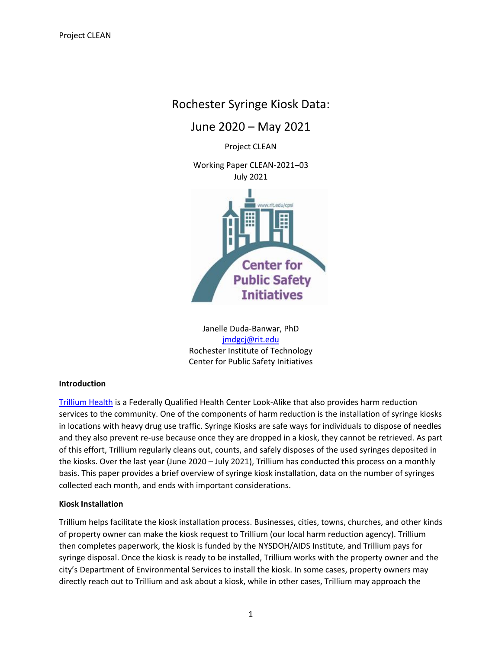# Rochester Syringe Kiosk Data:

## June 2020 – May 2021

Project CLEAN

Working Paper CLEAN-2021–03 July 2021



Janelle Duda-Banwar, PhD [jmdgcj@rit.edu](mailto:jmdgcj@rit.edu) Rochester Institute of Technology Center for Public Safety Initiatives

#### **Introduction**

[Trillium Health](https://www.trilliumhealth.org/) is a Federally Qualified Health Center Look-Alike that also provides harm reduction services to the community. One of the components of harm reduction is the installation of syringe kiosks in locations with heavy drug use traffic. Syringe Kiosks are safe ways for individuals to dispose of needles and they also prevent re-use because once they are dropped in a kiosk, they cannot be retrieved. As part of this effort, Trillium regularly cleans out, counts, and safely disposes of the used syringes deposited in the kiosks. Over the last year (June 2020 – July 2021), Trillium has conducted this process on a monthly basis. This paper provides a brief overview of syringe kiosk installation, data on the number of syringes collected each month, and ends with important considerations.

#### **Kiosk Installation**

Trillium helps facilitate the kiosk installation process. Businesses, cities, towns, churches, and other kinds of property owner can make the kiosk request to Trillium (our local harm reduction agency). Trillium then completes paperwork, the kiosk is funded by the NYSDOH/AIDS Institute, and Trillium pays for syringe disposal. Once the kiosk is ready to be installed, Trillium works with the property owner and the city's Department of Environmental Services to install the kiosk. In some cases, property owners may directly reach out to Trillium and ask about a kiosk, while in other cases, Trillium may approach the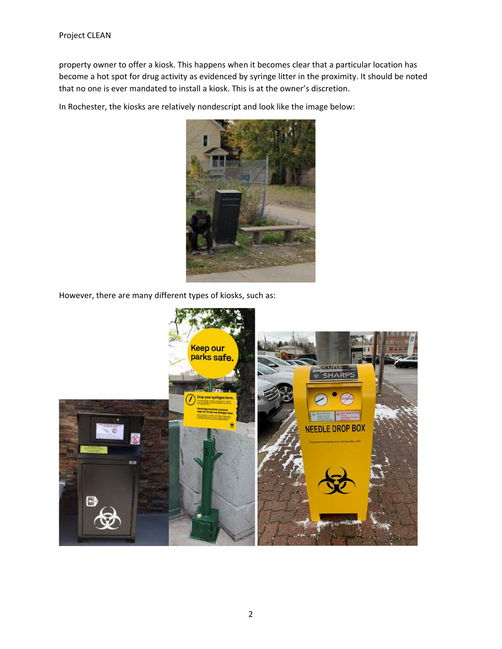property owner to offer a kiosk. This happens when it becomes clear that a particular location has become a hot spot for drug activity as evidenced by syringe litter in the proximity. It should be noted that no one is ever mandated to install a kiosk. This is at the owner's discretion.

In Rochester, the kiosks are relatively nondescript and look like the image below:



However, there are many different types of kiosks, such as:

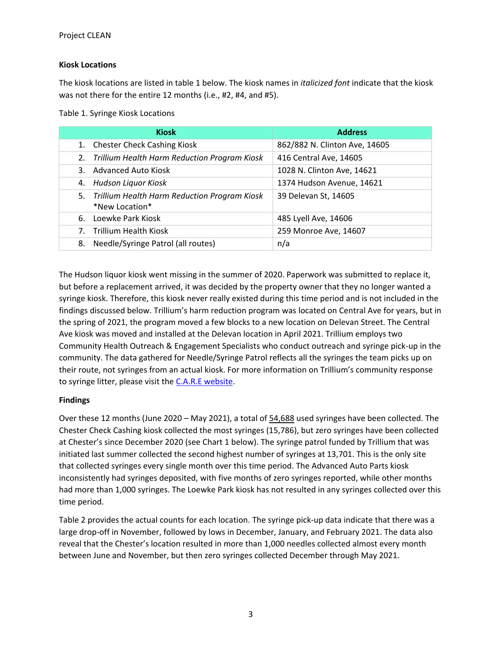### **Kiosk Locations**

The kiosk locations are listed in table 1 below. The kiosk names in *italicized font* indicate that the kiosk was not there for the entire 12 months (i.e., #2, #4, and #5).

Table 1. Syringe Kiosk Locations

| <b>Kiosk</b>                                                      | <b>Address</b>                |
|-------------------------------------------------------------------|-------------------------------|
| 1. Chester Check Cashing Kiosk                                    | 862/882 N. Clinton Ave, 14605 |
| 2. Trillium Health Harm Reduction Program Kiosk                   | 416 Central Ave, 14605        |
| 3. Advanced Auto Kiosk                                            | 1028 N. Clinton Ave, 14621    |
| 4. Hudson Liquor Kiosk                                            | 1374 Hudson Avenue, 14621     |
| 5. Trillium Health Harm Reduction Program Kiosk<br>*New Location* | 39 Delevan St, 14605          |
| 6. Loewke Park Kiosk                                              | 485 Lyell Ave, 14606          |
| 7. Trillium Health Kiosk                                          | 259 Monroe Ave, 14607         |
| Needle/Syringe Patrol (all routes)<br>8.                          | n/a                           |

The Hudson liquor kiosk went missing in the summer of 2020. Paperwork was submitted to replace it, but before a replacement arrived, it was decided by the property owner that they no longer wanted a syringe kiosk. Therefore, this kiosk never really existed during this time period and is not included in the findings discussed below. Trillium's harm reduction program was located on Central Ave for years, but in the spring of 2021, the program moved a few blocks to a new location on Delevan Street. The Central Ave kiosk was moved and installed at the Delevan location in April 2021. Trillium employs two Community Health Outreach & Engagement Specialists who conduct outreach and syringe pick-up in the community. The data gathered for Needle/Syringe Patrol reflects all the syringes the team picks up on their route, not syringes from an actual kiosk. For more information on Trillium's community response to syringe litter, please visit th[e C.A.R.E website.](http://carerochester.org/)

## **Findings**

Over these 12 months (June 2020 – May 2021), a total of 54,688 used syringes have been collected. The Chester Check Cashing kiosk collected the most syringes (15,786), but zero syringes have been collected at Chester's since December 2020 (see Chart 1 below). The syringe patrol funded by Trillium that was initiated last summer collected the second highest number of syringes at 13,701. This is the only site that collected syringes every single month over this time period. The Advanced Auto Parts kiosk inconsistently had syringes deposited, with five months of zero syringes reported, while other months had more than 1,000 syringes. The Loewke Park kiosk has not resulted in any syringes collected over this time period.

Table 2 provides the actual counts for each location. The syringe pick-up data indicate that there was a large drop-off in November, followed by lows in December, January, and February 2021. The data also reveal that the Chester's location resulted in more than 1,000 needles collected almost every month between June and November, but then zero syringes collected December through May 2021.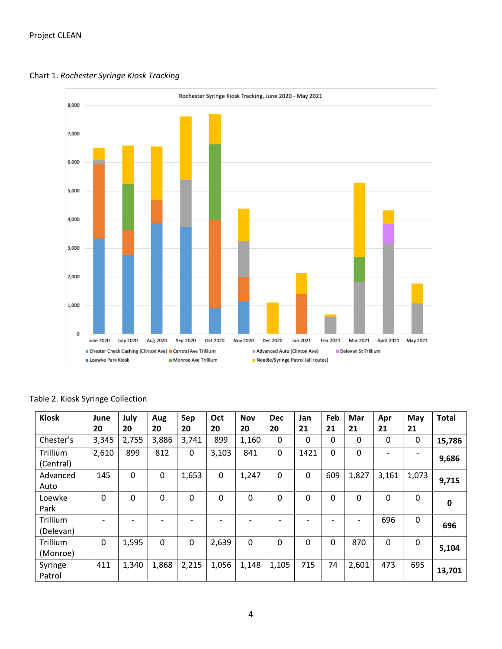

Chart 1. *Rochester Syringe Kiosk Tracking*

|  |  |  | Table 2. Kiosk Syringe Collection |
|--|--|--|-----------------------------------|
|--|--|--|-----------------------------------|

| <b>Kiosk</b> | June  | July     | Aug   | Sep   | Oct   | <b>Nov</b> | <b>Dec</b> | Jan  | Feb                      | Mar         | Apr   | May                      | <b>Total</b> |
|--------------|-------|----------|-------|-------|-------|------------|------------|------|--------------------------|-------------|-------|--------------------------|--------------|
|              | 20    | 20       | 20    | 20    | 20    | 20         | 20         | 21   | 21                       | 21          | 21    | 21                       |              |
| Chester's    | 3,345 | 2,755    | 3,886 | 3,741 | 899   | 1,160      | 0          | 0    | 0                        | $\Omega$    | 0     | 0                        | 15,786       |
| Trillium     | 2,610 | 899      | 812   | 0     | 3,103 | 841        | 0          | 1421 | $\mathbf{0}$             | $\mathbf 0$ |       | $\overline{\phantom{0}}$ | 9,686        |
| (Central)    |       |          |       |       |       |            |            |      |                          |             |       |                          |              |
| Advanced     | 145   | $\Omega$ | 0     | 1,653 | 0     | 1,247      | 0          | 0    | 609                      | 1,827       | 3,161 | 1,073                    |              |
| Auto         |       |          |       |       |       |            |            |      |                          |             |       |                          | 9,715        |
| Loewke       | 0     | 0        | 0     | 0     | 0     | $\Omega$   | $\Omega$   | 0    | $\mathbf{0}$             | 0           | 0     | 0                        | $\mathbf 0$  |
| Park         |       |          |       |       |       |            |            |      |                          |             |       |                          |              |
| Trillium     |       |          |       |       |       |            |            |      | $\overline{\phantom{0}}$ | -           | 696   | 0                        | 696          |
| (Delevan)    |       |          |       |       |       |            |            |      |                          |             |       |                          |              |
| Trillium     | 0     | 1,595    | 0     | 0     | 2,639 | $\Omega$   | $\Omega$   | 0    | 0                        | 870         | 0     | 0                        |              |
| (Monroe)     |       |          |       |       |       |            |            |      |                          |             |       |                          | 5,104        |
| Syringe      | 411   | 1,340    | 1,868 | 2,215 | 1,056 | 1,148      | 1,105      | 715  | 74                       | 2,601       | 473   | 695                      |              |
| Patrol       |       |          |       |       |       |            |            |      |                          |             |       |                          | 13,701       |